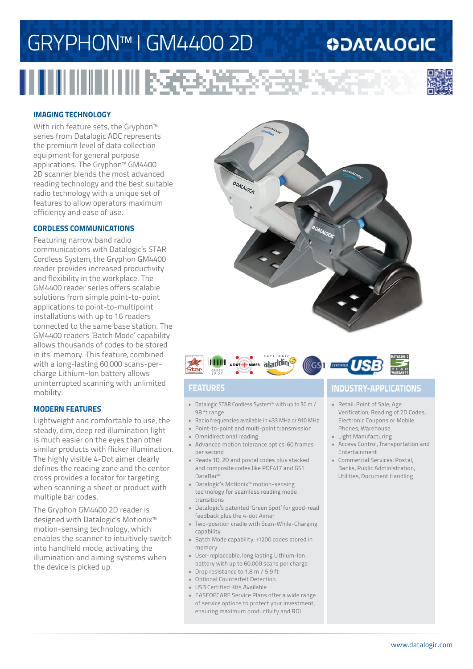# GRYPHON™ I GM4400 2D

## **ODATALOGIC**



## **IMAGING TECHNOLOGY**

With rich feature sets, the Gryphon<sup>™</sup> series from Datalogic ADC represents the premium level of data collection equipment for general purpose applications. The Gryphon™ GM4400 2D scanner blends the most advanced reading technology and the best suitable radio technology with a unique set of features to allow operators maximum efficiency and ease of use.

## **CORDLESS COMMUNICATIONS**

Featuring narrow band radio communications with Datalogic's STAR Cordless System, the Gryphon GM4400 reader provides increased productivity and flexibility in the workplace. The GM4400 reader series offers scalable solutions from simple point-to-point applications to point-to-multipoint installations with up to 16 readers connected to the same base station. The GM4400 readers 'Batch Mode' capability allows thousands of codes to be stored in its' memory. This feature, combined with a long-lasting 60,000 scans-percharge Lithium-Ion battery allows uninterrupted scanning with unlimited mobility.

## **MODERN FEATURES**

Lightweight and comfortable to use, the steady, dim, deep red illumination light is much easier on the eyes than other similar products with flicker illumination. The highly visible 4-Dot aimer clearly defines the reading zone and the center cross provides a locator for targeting when scanning a sheet or product with multiple bar codes.

The Gryphon GM4400 2D reader is designed with Datalogic's Motionix™ motion-sensing technology, which enables the scanner to intuitively switch into handheld mode, activating the illumination and aiming systems when the device is picked up.





- Datalogic STAR Cordless System™ with up to 30 m / 98 ft range
- Radio frequencies available in 433 MHz or 910 MHz
- Point-to-point and multi-point transmission
- Omnidirectional reading
- Advanced motion tolerance optics: 60 frames per second
- Reads 1D, 2D and postal codes plus stacked and composite codes like PDF417 and GS1 DataBar™
- Datalogic's Motionix™ motion-sensing technology for seamless reading mode transitions
- Datalogic's patented 'Green Spot' for good-read feedback plus the 4-dot Aimer
- Two-position cradle with Scan-While-Charging capability
- Batch Mode capability: +1200 codes stored in memory
- User-replaceable, long lasting Lithium-Ion battery with up to 60,000 scans per charge
- Drop resistance to 1.8 m / 5.9 ft
- Optional Counterfeit Detection
- USB Certified Kits Available
- EASEOFCARE Service Plans offer a wide range of service options to protect your investment, ensuring maximum productivity and ROI

## **FEATURES INDUSTRY-APPLICATIONS**

- Retail: Point of Sale; Age Verification; Reading of 2D Codes, Electronic Coupons or Mobile Phones, Warehouse
- Light Manufacturing
- Access Control, Transportation and Entertainment
- Commercial Services: Postal, Banks, Public Administration, Utilities, Document Handling